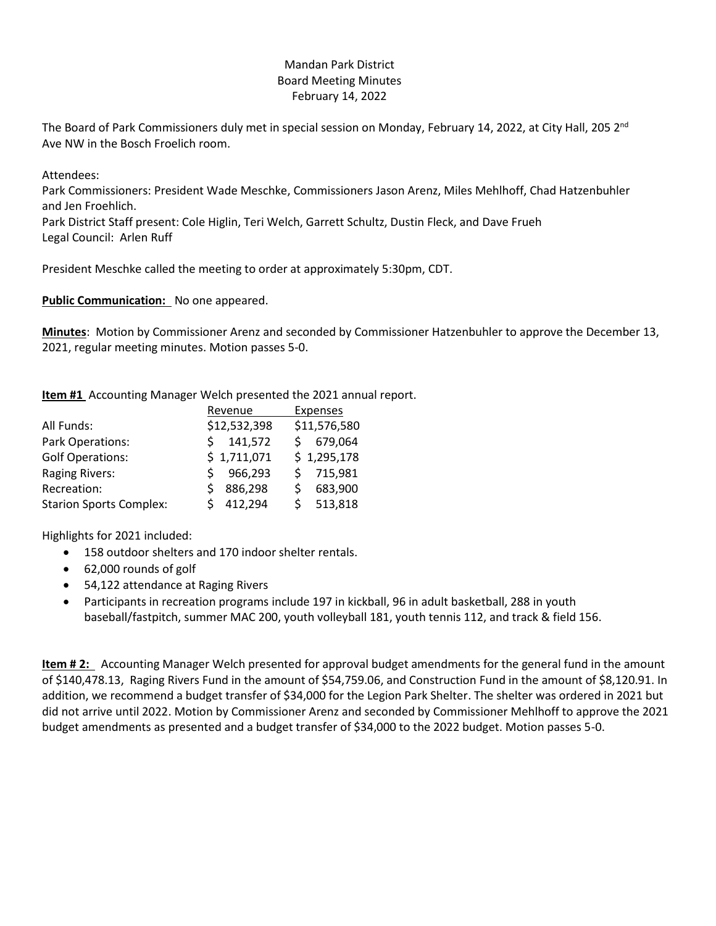# Mandan Park District Board Meeting Minutes February 14, 2022

The Board of Park Commissioners duly met in special session on Monday, February 14, 2022, at City Hall, 205  $2^{nd}$ Ave NW in the Bosch Froelich room.

Attendees:

Park Commissioners: President Wade Meschke, Commissioners Jason Arenz, Miles Mehlhoff, Chad Hatzenbuhler and Jen Froehlich.

Park District Staff present: Cole Higlin, Teri Welch, Garrett Schultz, Dustin Fleck, and Dave Frueh Legal Council: Arlen Ruff

President Meschke called the meeting to order at approximately 5:30pm, CDT.

**Public Communication:** No one appeared.

**Minutes**: Motion by Commissioner Arenz and seconded by Commissioner Hatzenbuhler to approve the December 13, 2021, regular meeting minutes. Motion passes 5-0.

**Item #1** Accounting Manager Welch presented the 2021 annual report.

|                                | Revenue      | <b>Expenses</b> |
|--------------------------------|--------------|-----------------|
| All Funds:                     | \$12,532,398 | \$11,576,580    |
| Park Operations:               | 141,572      | 679,064         |
| <b>Golf Operations:</b>        | \$1,711,071  | \$1,295,178     |
| <b>Raging Rivers:</b>          | 966,293      | 715,981         |
| Recreation:                    | 886,298      | 683,900         |
| <b>Starion Sports Complex:</b> | 412,294      | 513,818         |

Highlights for 2021 included:

- 158 outdoor shelters and 170 indoor shelter rentals.
- 62,000 rounds of golf
- 54,122 attendance at Raging Rivers
- Participants in recreation programs include 197 in kickball, 96 in adult basketball, 288 in youth baseball/fastpitch, summer MAC 200, youth volleyball 181, youth tennis 112, and track & field 156.

**Item # 2:** Accounting Manager Welch presented for approval budget amendments for the general fund in the amount of \$140,478.13, Raging Rivers Fund in the amount of \$54,759.06, and Construction Fund in the amount of \$8,120.91. In addition, we recommend a budget transfer of \$34,000 for the Legion Park Shelter. The shelter was ordered in 2021 but did not arrive until 2022. Motion by Commissioner Arenz and seconded by Commissioner Mehlhoff to approve the 2021 budget amendments as presented and a budget transfer of \$34,000 to the 2022 budget. Motion passes 5-0.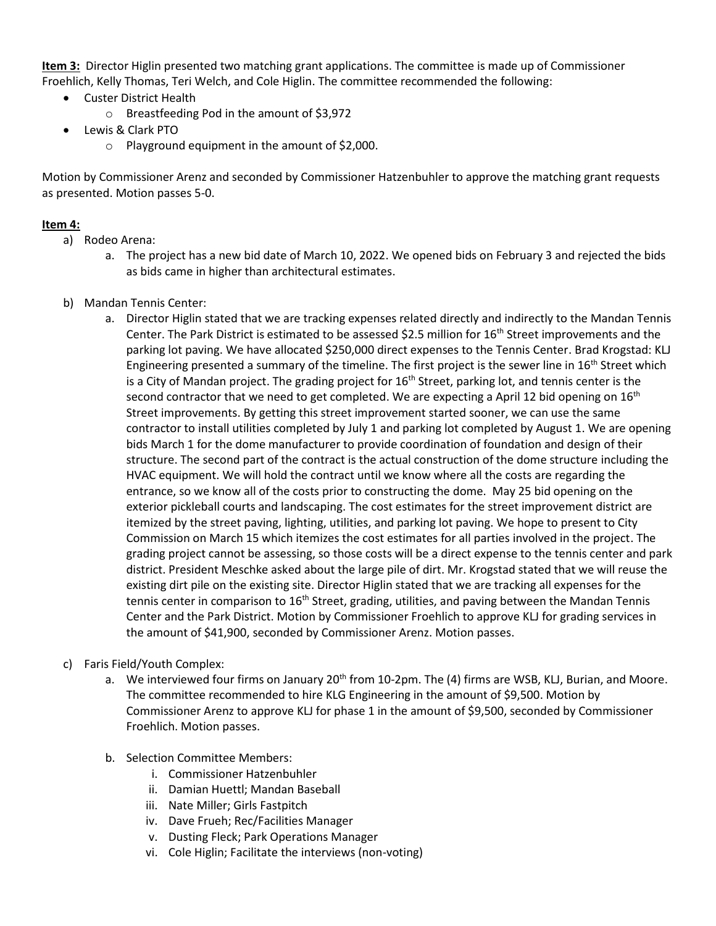**Item 3:** Director Higlin presented two matching grant applications. The committee is made up of Commissioner Froehlich, Kelly Thomas, Teri Welch, and Cole Higlin. The committee recommended the following:

- Custer District Health
	- o Breastfeeding Pod in the amount of \$3,972
- Lewis & Clark PTO
	- o Playground equipment in the amount of \$2,000.

Motion by Commissioner Arenz and seconded by Commissioner Hatzenbuhler to approve the matching grant requests as presented. Motion passes 5-0.

# **Item 4:**

- a) Rodeo Arena:
	- a. The project has a new bid date of March 10, 2022. We opened bids on February 3 and rejected the bids as bids came in higher than architectural estimates.
- b) Mandan Tennis Center:
	- a. Director Higlin stated that we are tracking expenses related directly and indirectly to the Mandan Tennis Center. The Park District is estimated to be assessed \$2.5 million for 16<sup>th</sup> Street improvements and the parking lot paving. We have allocated \$250,000 direct expenses to the Tennis Center. Brad Krogstad: KLJ Engineering presented a summary of the timeline. The first project is the sewer line in 16<sup>th</sup> Street which is a City of Mandan project. The grading project for  $16<sup>th</sup>$  Street, parking lot, and tennis center is the second contractor that we need to get completed. We are expecting a April 12 bid opening on  $16<sup>th</sup>$ Street improvements. By getting this street improvement started sooner, we can use the same contractor to install utilities completed by July 1 and parking lot completed by August 1. We are opening bids March 1 for the dome manufacturer to provide coordination of foundation and design of their structure. The second part of the contract is the actual construction of the dome structure including the HVAC equipment. We will hold the contract until we know where all the costs are regarding the entrance, so we know all of the costs prior to constructing the dome. May 25 bid opening on the exterior pickleball courts and landscaping. The cost estimates for the street improvement district are itemized by the street paving, lighting, utilities, and parking lot paving. We hope to present to City Commission on March 15 which itemizes the cost estimates for all parties involved in the project. The grading project cannot be assessing, so those costs will be a direct expense to the tennis center and park district. President Meschke asked about the large pile of dirt. Mr. Krogstad stated that we will reuse the existing dirt pile on the existing site. Director Higlin stated that we are tracking all expenses for the tennis center in comparison to  $16<sup>th</sup>$  Street, grading, utilities, and paving between the Mandan Tennis Center and the Park District. Motion by Commissioner Froehlich to approve KLJ for grading services in the amount of \$41,900, seconded by Commissioner Arenz. Motion passes.

#### c) Faris Field/Youth Complex:

- a. We interviewed four firms on January 20<sup>th</sup> from 10-2pm. The (4) firms are WSB, KLJ, Burian, and Moore. The committee recommended to hire KLG Engineering in the amount of \$9,500. Motion by Commissioner Arenz to approve KLJ for phase 1 in the amount of \$9,500, seconded by Commissioner Froehlich. Motion passes.
- b. Selection Committee Members:
	- i. Commissioner Hatzenbuhler
	- ii. Damian Huettl; Mandan Baseball
	- iii. Nate Miller; Girls Fastpitch
	- iv. Dave Frueh; Rec/Facilities Manager
	- v. Dusting Fleck; Park Operations Manager
	- vi. Cole Higlin; Facilitate the interviews (non-voting)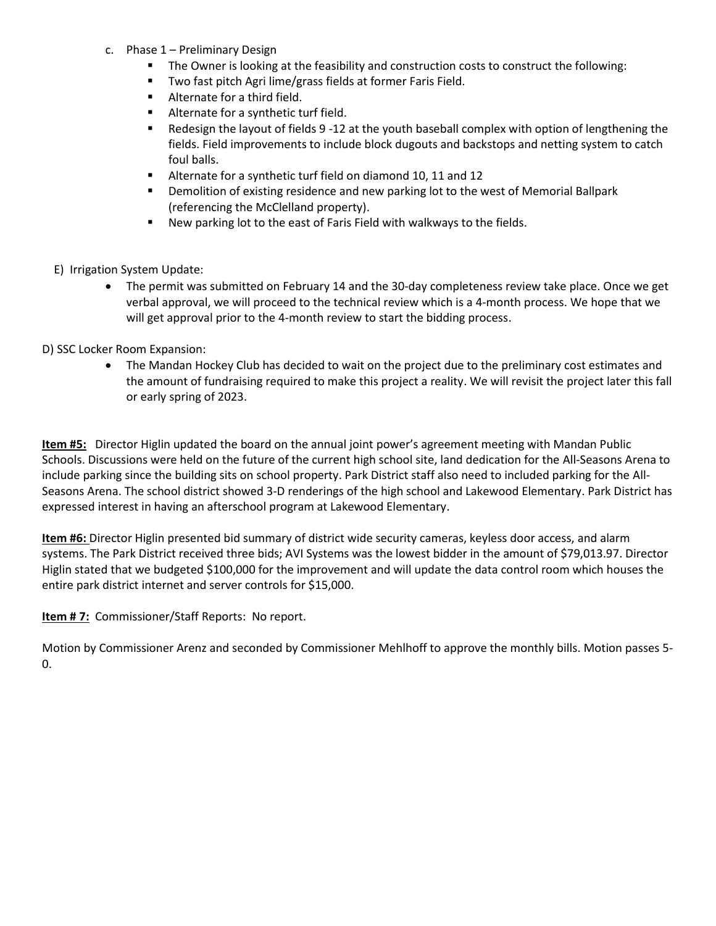- c. Phase 1 Preliminary Design
	- **The Owner is looking at the feasibility and construction costs to construct the following:**
	- **TWO fast pitch Agri lime/grass fields at former Faris Field.**
	- **Alternate for a third field.**
	- **Alternate for a synthetic turf field.**
	- Redesign the layout of fields 9 -12 at the youth baseball complex with option of lengthening the fields. Field improvements to include block dugouts and backstops and netting system to catch foul balls.
	- Alternate for a synthetic turf field on diamond 10, 11 and 12
	- **Phonolition of existing residence and new parking lot to the west of Memorial Ballpark** (referencing the McClelland property).
	- **New parking lot to the east of Faris Field with walkways to the fields.**
- E) Irrigation System Update:
	- The permit was submitted on February 14 and the 30-day completeness review take place. Once we get verbal approval, we will proceed to the technical review which is a 4-month process. We hope that we will get approval prior to the 4-month review to start the bidding process.

### D) SSC Locker Room Expansion:

 The Mandan Hockey Club has decided to wait on the project due to the preliminary cost estimates and the amount of fundraising required to make this project a reality. We will revisit the project later this fall or early spring of 2023.

**Item #5:** Director Higlin updated the board on the annual joint power's agreement meeting with Mandan Public Schools. Discussions were held on the future of the current high school site, land dedication for the All-Seasons Arena to include parking since the building sits on school property. Park District staff also need to included parking for the All-Seasons Arena. The school district showed 3-D renderings of the high school and Lakewood Elementary. Park District has expressed interest in having an afterschool program at Lakewood Elementary.

**Item #6:** Director Higlin presented bid summary of district wide security cameras, keyless door access, and alarm systems. The Park District received three bids; AVI Systems was the lowest bidder in the amount of \$79,013.97. Director Higlin stated that we budgeted \$100,000 for the improvement and will update the data control room which houses the entire park district internet and server controls for \$15,000.

#### **Item # 7:** Commissioner/Staff Reports: No report.

Motion by Commissioner Arenz and seconded by Commissioner Mehlhoff to approve the monthly bills. Motion passes 5- 0.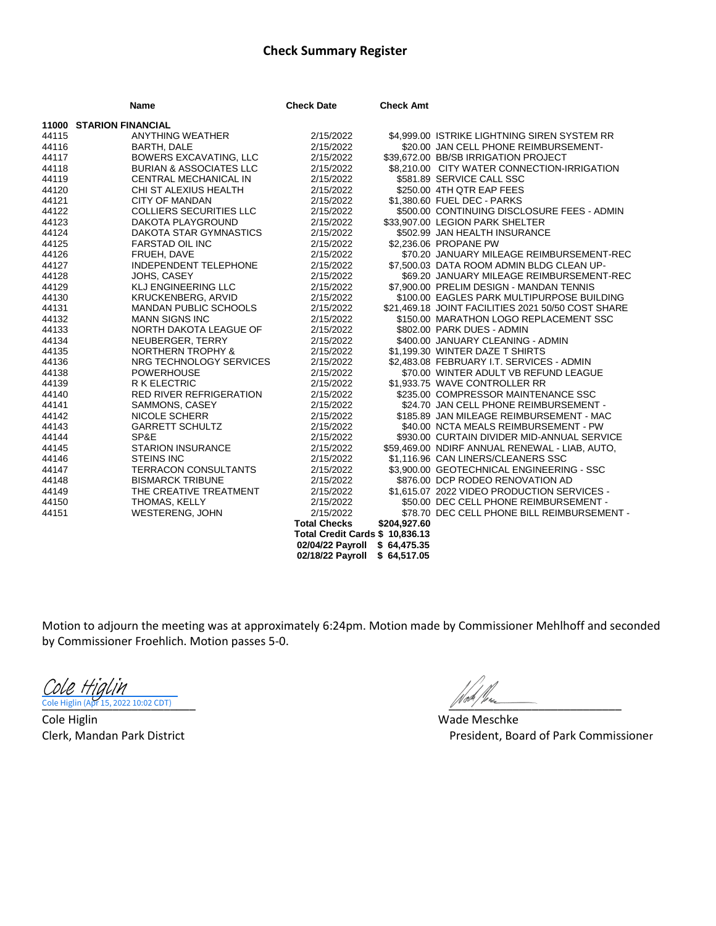# **Check Summary Register**

|       | Name                               | <b>Check Date</b>               | <b>Check Amt</b> |                                                    |
|-------|------------------------------------|---------------------------------|------------------|----------------------------------------------------|
|       | <b>11000 STARION FINANCIAL</b>     |                                 |                  |                                                    |
| 44115 | <b>ANYTHING WEATHER</b>            | 2/15/2022                       |                  | \$4,999.00 ISTRIKE LIGHTNING SIREN SYSTEM RR       |
| 44116 | BARTH, DALE                        | 2/15/2022                       |                  | \$20.00 JAN CELL PHONE REIMBURSEMENT-              |
| 44117 | <b>BOWERS EXCAVATING, LLC</b>      | 2/15/2022                       |                  | \$39,672.00 BB/SB IRRIGATION PROJECT               |
| 44118 | <b>BURIAN &amp; ASSOCIATES LLC</b> | 2/15/2022                       |                  | \$8,210.00 CITY WATER CONNECTION-IRRIGATION        |
| 44119 | CENTRAL MECHANICAL IN              | 2/15/2022                       |                  | \$581.89 SERVICE CALL SSC                          |
| 44120 | CHI ST ALEXIUS HEALTH              | 2/15/2022                       |                  | \$250.00 4TH QTR EAP FEES                          |
| 44121 | <b>CITY OF MANDAN</b>              | 2/15/2022                       |                  | \$1,380.60 FUEL DEC - PARKS                        |
| 44122 | <b>COLLIERS SECURITIES LLC</b>     | 2/15/2022                       |                  | \$500.00 CONTINUING DISCLOSURE FEES - ADMIN        |
| 44123 | DAKOTA PLAYGROUND                  | 2/15/2022                       |                  | \$33,907.00 LEGION PARK SHELTER                    |
| 44124 | DAKOTA STAR GYMNASTICS             | 2/15/2022                       |                  | \$502.99 JAN HEALTH INSURANCE                      |
| 44125 | <b>FARSTAD OIL INC</b>             | 2/15/2022                       |                  | \$2,236.06 PROPANE PW                              |
| 44126 | FRUEH, DAVE                        | 2/15/2022                       |                  | \$70.20 JANUARY MILEAGE REIMBURSEMENT-REC          |
| 44127 | INDEPENDENT TELEPHONE              | 2/15/2022                       |                  | \$7,500.03 DATA ROOM ADMIN BLDG CLEAN UP-          |
| 44128 | JOHS, CASEY                        | 2/15/2022                       |                  | \$69.20 JANUARY MILEAGE REIMBURSEMENT-REC          |
| 44129 | <b>KLJ ENGINEERING LLC</b>         | 2/15/2022                       |                  | \$7,900.00 PRELIM DESIGN - MANDAN TENNIS           |
| 44130 | <b>KRUCKENBERG, ARVID</b>          | 2/15/2022                       |                  | \$100.00 EAGLES PARK MULTIPURPOSE BUILDING         |
| 44131 | <b>MANDAN PUBLIC SCHOOLS</b>       | 2/15/2022                       |                  | \$21,469.18 JOINT FACILITIES 2021 50/50 COST SHARE |
| 44132 | <b>MANN SIGNS INC</b>              | 2/15/2022                       |                  | \$150.00 MARATHON LOGO REPLACEMENT SSC             |
| 44133 | NORTH DAKOTA LEAGUE OF             | 2/15/2022                       |                  | \$802.00 PARK DUES - ADMIN                         |
| 44134 | NEUBERGER, TERRY                   | 2/15/2022                       |                  | \$400.00 JANUARY CLEANING - ADMIN                  |
| 44135 | <b>NORTHERN TROPHY &amp;</b>       | 2/15/2022                       |                  | \$1,199.30 WINTER DAZE T SHIRTS                    |
| 44136 | NRG TECHNOLOGY SERVICES            | 2/15/2022                       |                  | \$2,483.08 FEBRUARY I.T. SERVICES - ADMIN          |
| 44138 | <b>POWERHOUSE</b>                  | 2/15/2022                       |                  | \$70.00 WINTER ADULT VB REFUND LEAGUE              |
| 44139 | <b>R K ELECTRIC</b>                | 2/15/2022                       |                  | \$1,933.75 WAVE CONTROLLER RR                      |
| 44140 | <b>RED RIVER REFRIGERATION</b>     | 2/15/2022                       |                  | \$235.00 COMPRESSOR MAINTENANCE SSC                |
| 44141 | SAMMONS, CASEY                     | 2/15/2022                       |                  | \$24.70 JAN CELL PHONE REIMBURSEMENT -             |
| 44142 | <b>NICOLE SCHERR</b>               | 2/15/2022                       |                  | \$185.89 JAN MILEAGE REIMBURSEMENT - MAC           |
| 44143 | <b>GARRETT SCHULTZ</b>             | 2/15/2022                       |                  | \$40.00 NCTA MEALS REIMBURSEMENT - PW              |
| 44144 | SP&E                               | 2/15/2022                       |                  | \$930.00 CURTAIN DIVIDER MID-ANNUAL SERVICE        |
| 44145 | <b>STARION INSURANCE</b>           | 2/15/2022                       |                  | \$59,469.00 NDIRF ANNUAL RENEWAL - LIAB, AUTO,     |
| 44146 | <b>STEINS INC</b>                  | 2/15/2022                       |                  | \$1,116.96 CAN LINERS/CLEANERS SSC                 |
| 44147 | <b>TERRACON CONSULTANTS</b>        | 2/15/2022                       |                  | \$3,900.00 GEOTECHNICAL ENGINEERING - SSC          |
| 44148 | <b>BISMARCK TRIBUNE</b>            | 2/15/2022                       |                  | \$876.00 DCP RODEO RENOVATION AD                   |
| 44149 | THE CREATIVE TREATMENT             | 2/15/2022                       |                  | \$1,615.07 2022 VIDEO PRODUCTION SERVICES -        |
| 44150 | THOMAS, KELLY                      | 2/15/2022                       |                  | \$50.00 DEC CELL PHONE REIMBURSEMENT -             |
| 44151 | <b>WESTERENG, JOHN</b>             | 2/15/2022                       |                  | \$78.70 DEC CELL PHONE BILL REIMBURSEMENT -        |
|       |                                    | <b>Total Checks</b>             | \$204,927.60     |                                                    |
|       |                                    | Total Credit Cards \$ 10,836.13 |                  |                                                    |
|       |                                    | 02/04/22 Payroll \$ 64,475.35   |                  |                                                    |
|       |                                    | 02/18/22 Payroll                | \$64,517.05      |                                                    |

Motion to adjourn the meeting was at approximately 6:24pm. Motion made by Commissioner Mehlhoff and seconded by Commissioner Froehlich. Motion passes 5-0.

[Cole Higlin](https://adobefreeuserschannel.na1.documents.adobe.com/verifier?tx=CBJCHBCAABAAIymtEDxToQx4d10ro1TX9ojY1NBZUYST)

Cole Higlin Wade Meschke

\_\_\_\_\_\_\_\_\_\_\_\_\_\_\_\_\_\_\_\_\_\_\_\_ [\\_\\_\\_\\_\\_\\_\\_\\_\\_\\_\\_\\_\\_\\_\\_\\_\\_\\_\\_\\_\\_\\_\\_\\_\\_\\_\\_](https://secure.na1.adobesign.com/verifier?tx=CBJCHBCAABAAIymtEDxToQx4d10ro1TX9ojY1NBZUYST) Cole Higlin (Apr 15, 2022 10:02 CDT)

Clerk, Mandan Park District **President, Board of Park Commissioner** President, Board of Park Commissioner